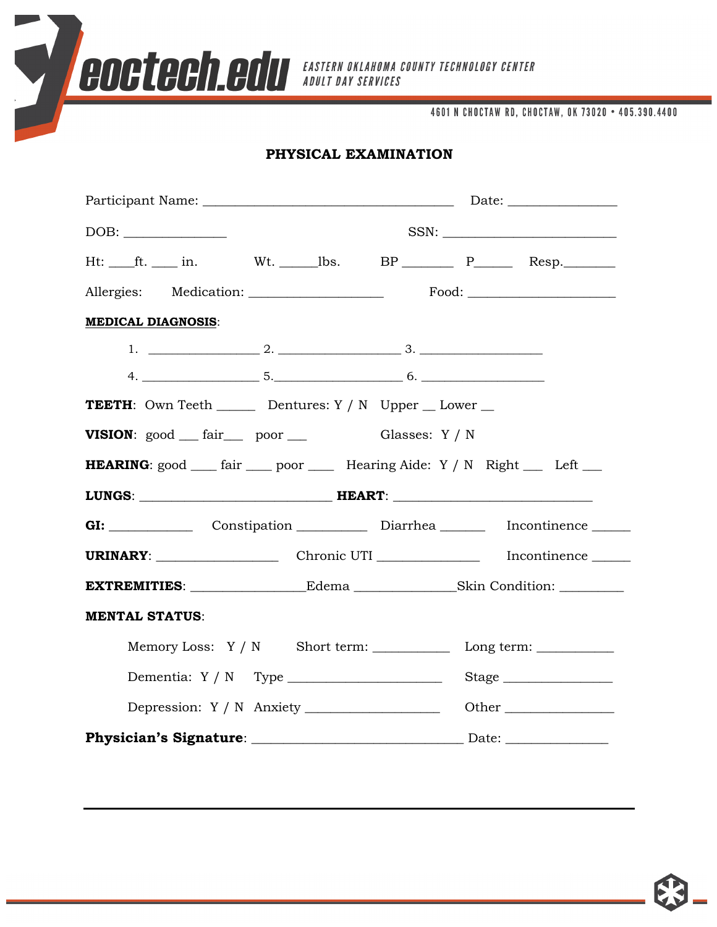**COCTECH COU** EASTERN OKLAHOMA COUNTY TECHNOLOGY CENTER

4601 N CHOCTAW RD, CHOCTAW, OK 73020 . 405.390.4400

## **PHYSICAL EXAMINATION**

|                                                                                                     | $SSN: \underline{\hspace{2.5cm}}$ |  |  |
|-----------------------------------------------------------------------------------------------------|-----------------------------------|--|--|
| Ht: $ft.$ in. Wt. bs. BP $P$ Resp.                                                                  |                                   |  |  |
|                                                                                                     |                                   |  |  |
| <b>MEDICAL DIAGNOSIS:</b>                                                                           |                                   |  |  |
|                                                                                                     |                                   |  |  |
|                                                                                                     |                                   |  |  |
| <b>TEETH</b> : Own Teeth $\_\_\_\_\$ Dentures: Y / N Upper $\_\_\_\$ Lower $\_\_\_\_\$              |                                   |  |  |
| <b>VISION</b> : $\text{good}$ $\text{fair}$ poor $\text{real}$ Glasses: Y / N                       |                                   |  |  |
| <b>HEARING</b> : good <u>____</u> fair _____ poor _______ Hearing Aide: Y / N Right _____ Left ____ |                                   |  |  |
|                                                                                                     |                                   |  |  |
| GI: Constipation Diarrhea Incontinence                                                              |                                   |  |  |
|                                                                                                     |                                   |  |  |
| EXTREMITIES: ______________________Edema ____________________Skin Condition: __________             |                                   |  |  |
| <b>MENTAL STATUS:</b>                                                                               |                                   |  |  |
|                                                                                                     |                                   |  |  |
|                                                                                                     | Stage                             |  |  |
|                                                                                                     |                                   |  |  |
|                                                                                                     |                                   |  |  |